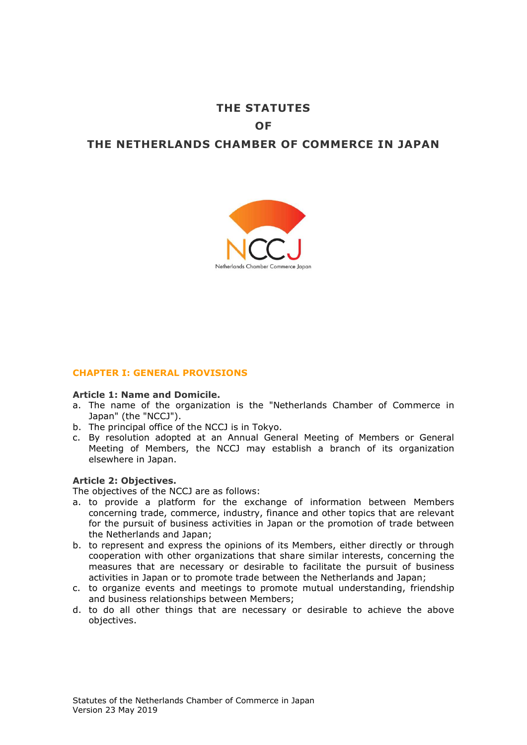# **THE STATUTES OF THE NETHERLANDS CHAMBER OF COMMERCE IN JAPAN**



# **CHAPTER I: GENERAL PROVISIONS**

#### **Article 1: Name and Domicile.**

- a. The name of the organization is the "Netherlands Chamber of Commerce in Japan" (the "NCCJ").
- b. The principal office of the NCCJ is in Tokyo.
- c. By resolution adopted at an Annual General Meeting of Members or General Meeting of Members, the NCCJ may establish a branch of its organization elsewhere in Japan.

## **Article 2: Objectives.**

The objectives of the NCCJ are as follows:

- a. to provide a platform for the exchange of information between Members concerning trade, commerce, industry, finance and other topics that are relevant for the pursuit of business activities in Japan or the promotion of trade between the Netherlands and Japan;
- b. to represent and express the opinions of its Members, either directly or through cooperation with other organizations that share similar interests, concerning the measures that are necessary or desirable to facilitate the pursuit of business activities in Japan or to promote trade between the Netherlands and Japan;
- c. to organize events and meetings to promote mutual understanding, friendship and business relationships between Members;
- d. to do all other things that are necessary or desirable to achieve the above objectives.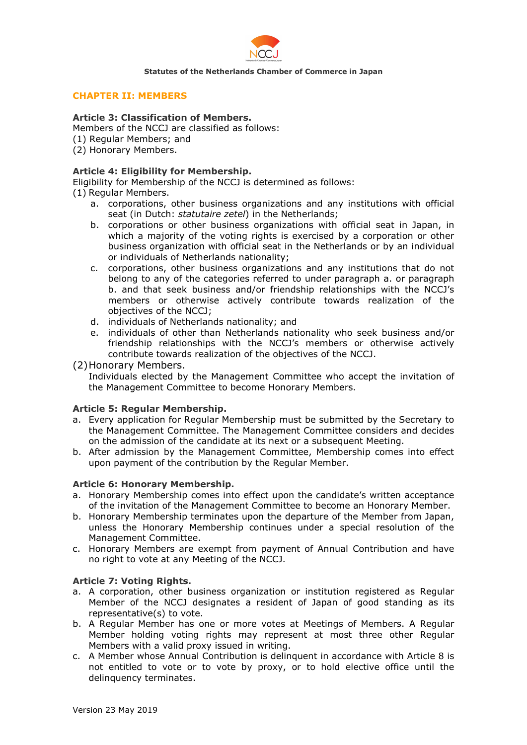

## **CHAPTER II: MEMBERS**

## **Article 3: Classification of Members.**

Members of the NCCJ are classified as follows:

- (1) Regular Members; and
- (2) Honorary Members.

# **Article 4: Eligibility for Membership.**

Eligibility for Membership of the NCCJ is determined as follows:

(1) Regular Members.

- a. corporations, other business organizations and any institutions with official seat (in Dutch: *statutaire zetel*) in the Netherlands;
- b. corporations or other business organizations with official seat in Japan, in which a majority of the voting rights is exercised by a corporation or other business organization with official seat in the Netherlands or by an individual or individuals of Netherlands nationality;
- c. corporations, other business organizations and any institutions that do not belong to any of the categories referred to under paragraph a. or paragraph b. and that seek business and/or friendship relationships with the NCCJ's members or otherwise actively contribute towards realization of the objectives of the NCCJ;
- d. individuals of Netherlands nationality; and
- e. individuals of other than Netherlands nationality who seek business and/or friendship relationships with the NCCJ's members or otherwise actively contribute towards realization of the objectives of the NCCJ.
- (2)Honorary Members.

Individuals elected by the Management Committee who accept the invitation of the Management Committee to become Honorary Members.

# **Article 5: Regular Membership.**

- a. Every application for Regular Membership must be submitted by the Secretary to the Management Committee. The Management Committee considers and decides on the admission of the candidate at its next or a subsequent Meeting.
- b. After admission by the Management Committee, Membership comes into effect upon payment of the contribution by the Regular Member.

# **Article 6: Honorary Membership.**

- a. Honorary Membership comes into effect upon the candidate's written acceptance of the invitation of the Management Committee to become an Honorary Member.
- b. Honorary Membership terminates upon the departure of the Member from Japan, unless the Honorary Membership continues under a special resolution of the Management Committee.
- c. Honorary Members are exempt from payment of Annual Contribution and have no right to vote at any Meeting of the NCCJ.

# **Article 7: Voting Rights.**

- a. A corporation, other business organization or institution registered as Regular Member of the NCCJ designates a resident of Japan of good standing as its representative(s) to vote.
- b. A Regular Member has one or more votes at Meetings of Members. A Regular Member holding voting rights may represent at most three other Regular Members with a valid proxy issued in writing.
- c. A Member whose Annual Contribution is delinquent in accordance with Article 8 is not entitled to vote or to vote by proxy, or to hold elective office until the delinquency terminates.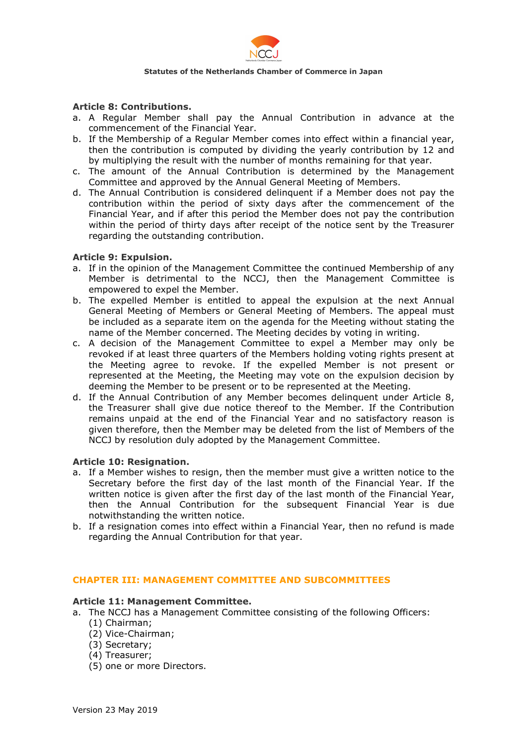

## **Article 8: Contributions.**

- a. A Regular Member shall pay the Annual Contribution in advance at the commencement of the Financial Year.
- b. If the Membership of a Regular Member comes into effect within a financial year, then the contribution is computed by dividing the yearly contribution by 12 and by multiplying the result with the number of months remaining for that year.
- c. The amount of the Annual Contribution is determined by the Management Committee and approved by the Annual General Meeting of Members.
- d. The Annual Contribution is considered delinquent if a Member does not pay the contribution within the period of sixty days after the commencement of the Financial Year, and if after this period the Member does not pay the contribution within the period of thirty days after receipt of the notice sent by the Treasurer regarding the outstanding contribution.

## **Article 9: Expulsion.**

- a. If in the opinion of the Management Committee the continued Membership of any Member is detrimental to the NCCJ, then the Management Committee is empowered to expel the Member.
- b. The expelled Member is entitled to appeal the expulsion at the next Annual General Meeting of Members or General Meeting of Members. The appeal must be included as a separate item on the agenda for the Meeting without stating the name of the Member concerned. The Meeting decides by voting in writing.
- c. A decision of the Management Committee to expel a Member may only be revoked if at least three quarters of the Members holding voting rights present at the Meeting agree to revoke. If the expelled Member is not present or represented at the Meeting, the Meeting may vote on the expulsion decision by deeming the Member to be present or to be represented at the Meeting.
- d. If the Annual Contribution of any Member becomes delinquent under Article 8, the Treasurer shall give due notice thereof to the Member. If the Contribution remains unpaid at the end of the Financial Year and no satisfactory reason is given therefore, then the Member may be deleted from the list of Members of the NCCJ by resolution duly adopted by the Management Committee.

#### **Article 10: Resignation.**

- a. If a Member wishes to resign, then the member must give a written notice to the Secretary before the first day of the last month of the Financial Year. If the written notice is given after the first day of the last month of the Financial Year, then the Annual Contribution for the subsequent Financial Year is due notwithstanding the written notice.
- b. If a resignation comes into effect within a Financial Year, then no refund is made regarding the Annual Contribution for that year.

## **CHAPTER III: MANAGEMENT COMMITTEE AND SUBCOMMITTEES**

#### **Article 11: Management Committee.**

- a. The NCCJ has a Management Committee consisting of the following Officers: (1) Chairman;
	- (2) Vice-Chairman;
	- (3) Secretary;
	- (4) Treasurer;
	- (5) one or more Directors.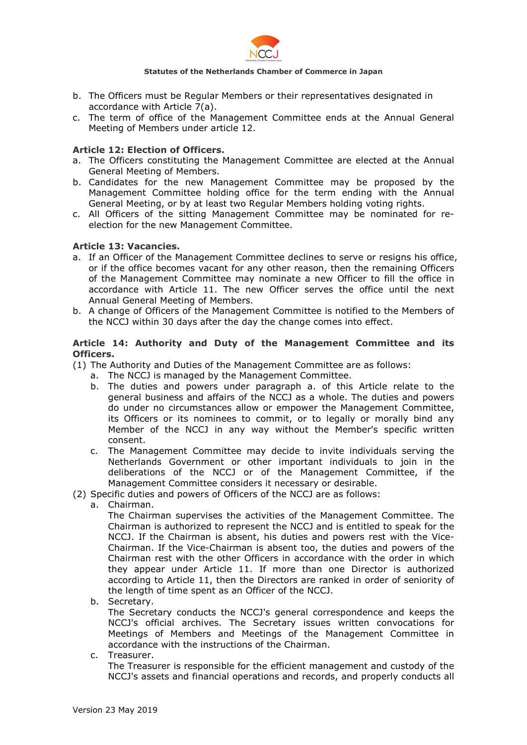

- b. The Officers must be Regular Members or their representatives designated in accordance with Article 7(a).
- c. The term of office of the Management Committee ends at the Annual General Meeting of Members under article 12.

# **Article 12: Election of Officers.**

- a. The Officers constituting the Management Committee are elected at the Annual General Meeting of Members.
- b. Candidates for the new Management Committee may be proposed by the Management Committee holding office for the term ending with the Annual General Meeting, or by at least two Regular Members holding voting rights.
- c. All Officers of the sitting Management Committee may be nominated for reelection for the new Management Committee.

## **Article 13: Vacancies.**

- a. If an Officer of the Management Committee declines to serve or resigns his office, or if the office becomes vacant for any other reason, then the remaining Officers of the Management Committee may nominate a new Officer to fill the office in accordance with Article 11. The new Officer serves the office until the next Annual General Meeting of Members.
- b. A change of Officers of the Management Committee is notified to the Members of the NCCJ within 30 days after the day the change comes into effect.

## **Article 14: Authority and Duty of the Management Committee and its Officers.**

- (1) The Authority and Duties of the Management Committee are as follows:
	- a. The NCCJ is managed by the Management Committee.
	- b. The duties and powers under paragraph a. of this Article relate to the general business and affairs of the NCCJ as a whole. The duties and powers do under no circumstances allow or empower the Management Committee, its Officers or its nominees to commit, or to legally or morally bind any Member of the NCCJ in any way without the Member's specific written consent.
	- c. The Management Committee may decide to invite individuals serving the Netherlands Government or other important individuals to join in the deliberations of the NCCJ or of the Management Committee, if the Management Committee considers it necessary or desirable.
- (2) Specific duties and powers of Officers of the NCCJ are as follows:
	- a. Chairman.

The Chairman supervises the activities of the Management Committee. The Chairman is authorized to represent the NCCJ and is entitled to speak for the NCCJ. If the Chairman is absent, his duties and powers rest with the Vice-Chairman. If the Vice-Chairman is absent too, the duties and powers of the Chairman rest with the other Officers in accordance with the order in which they appear under Article 11. If more than one Director is authorized according to Article 11, then the Directors are ranked in order of seniority of the length of time spent as an Officer of the NCCJ.

b. Secretary.

The Secretary conducts the NCCJ's general correspondence and keeps the NCCJ's official archives. The Secretary issues written convocations for Meetings of Members and Meetings of the Management Committee in accordance with the instructions of the Chairman.

c. Treasurer.

The Treasurer is responsible for the efficient management and custody of the NCCJ's assets and financial operations and records, and properly conducts all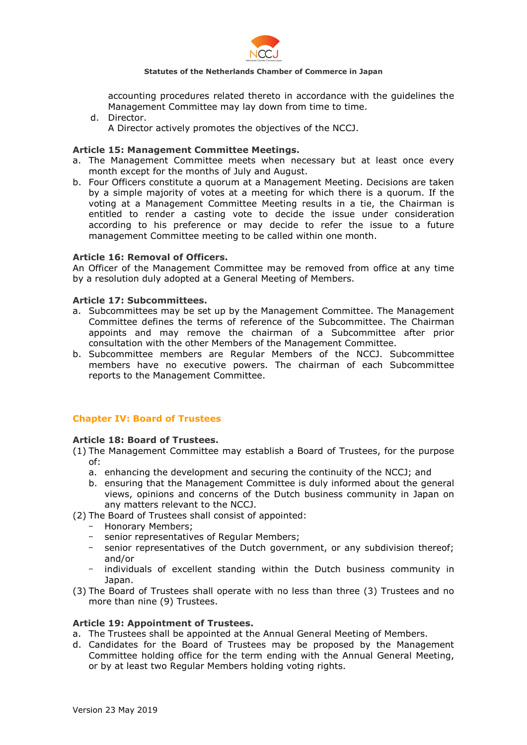

accounting procedures related thereto in accordance with the guidelines the Management Committee may lay down from time to time.

- d. Director.
	- A Director actively promotes the objectives of the NCCJ.

# **Article 15: Management Committee Meetings.**

- a. The Management Committee meets when necessary but at least once every month except for the months of July and August.
- b. Four Officers constitute a quorum at a Management Meeting. Decisions are taken by a simple majority of votes at a meeting for which there is a quorum. If the voting at a Management Committee Meeting results in a tie, the Chairman is entitled to render a casting vote to decide the issue under consideration according to his preference or may decide to refer the issue to a future management Committee meeting to be called within one month.

## **Article 16: Removal of Officers.**

An Officer of the Management Committee may be removed from office at any time by a resolution duly adopted at a General Meeting of Members.

## **Article 17: Subcommittees.**

- a. Subcommittees may be set up by the Management Committee. The Management Committee defines the terms of reference of the Subcommittee. The Chairman appoints and may remove the chairman of a Subcommittee after prior consultation with the other Members of the Management Committee.
- b. Subcommittee members are Regular Members of the NCCJ. Subcommittee members have no executive powers. The chairman of each Subcommittee reports to the Management Committee.

# **Chapter IV: Board of Trustees**

# **Article 18: Board of Trustees.**

- (1) The Management Committee may establish a Board of Trustees, for the purpose of:
	- a. enhancing the development and securing the continuity of the NCCJ; and
	- b. ensuring that the Management Committee is duly informed about the general views, opinions and concerns of the Dutch business community in Japan on any matters relevant to the NCCJ.
- (2) The Board of Trustees shall consist of appointed:
	- Honorary Members;
	- senior representatives of Regular Members;
	- senior representatives of the Dutch government, or any subdivision thereof; and/or
	- individuals of excellent standing within the Dutch business community in Japan.
- (3) The Board of Trustees shall operate with no less than three (3) Trustees and no more than nine (9) Trustees.

#### **Article 19: Appointment of Trustees.**

- a. The Trustees shall be appointed at the Annual General Meeting of Members.
- d. Candidates for the Board of Trustees may be proposed by the Management Committee holding office for the term ending with the Annual General Meeting, or by at least two Regular Members holding voting rights.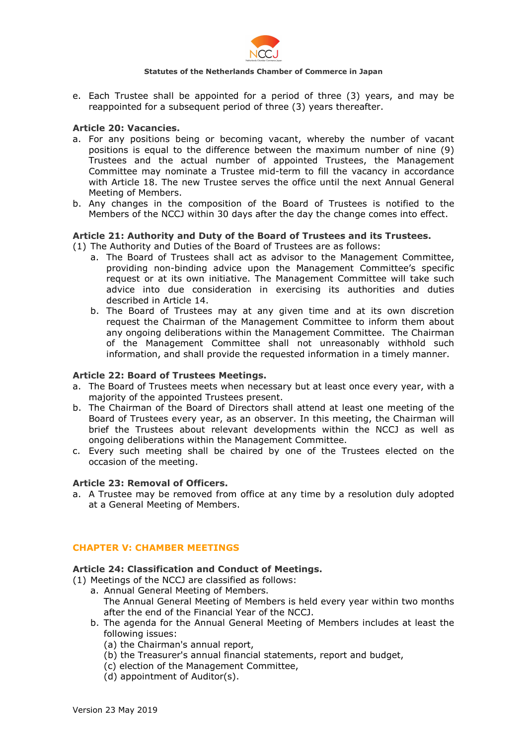

e. Each Trustee shall be appointed for a period of three (3) years, and may be reappointed for a subsequent period of three (3) years thereafter.

## **Article 20: Vacancies.**

- a. For any positions being or becoming vacant, whereby the number of vacant positions is equal to the difference between the maximum number of nine (9) Trustees and the actual number of appointed Trustees, the Management Committee may nominate a Trustee mid-term to fill the vacancy in accordance with Article 18. The new Trustee serves the office until the next Annual General Meeting of Members.
- b. Any changes in the composition of the Board of Trustees is notified to the Members of the NCCJ within 30 days after the day the change comes into effect.

## **Article 21: Authority and Duty of the Board of Trustees and its Trustees.**

(1) The Authority and Duties of the Board of Trustees are as follows:

- a. The Board of Trustees shall act as advisor to the Management Committee, providing non-binding advice upon the Management Committee's specific request or at its own initiative. The Management Committee will take such advice into due consideration in exercising its authorities and duties described in Article 14.
- b. The Board of Trustees may at any given time and at its own discretion request the Chairman of the Management Committee to inform them about any ongoing deliberations within the Management Committee. The Chairman of the Management Committee shall not unreasonably withhold such information, and shall provide the requested information in a timely manner.

## **Article 22: Board of Trustees Meetings.**

- a. The Board of Trustees meets when necessary but at least once every year, with a majority of the appointed Trustees present.
- b. The Chairman of the Board of Directors shall attend at least one meeting of the Board of Trustees every year, as an observer. In this meeting, the Chairman will brief the Trustees about relevant developments within the NCCJ as well as ongoing deliberations within the Management Committee.
- c. Every such meeting shall be chaired by one of the Trustees elected on the occasion of the meeting.

#### **Article 23: Removal of Officers.**

a. A Trustee may be removed from office at any time by a resolution duly adopted at a General Meeting of Members.

# **CHAPTER V: CHAMBER MEETINGS**

#### **Article 24: Classification and Conduct of Meetings.**

- (1) Meetings of the NCCJ are classified as follows:
	- a. Annual General Meeting of Members. The Annual General Meeting of Members is held every year within two months after the end of the Financial Year of the NCCJ.
	- b. The agenda for the Annual General Meeting of Members includes at least the following issues:
		- (a) the Chairman's annual report,
		- (b) the Treasurer's annual financial statements, report and budget,
		- (c) election of the Management Committee,
		- (d) appointment of Auditor(s).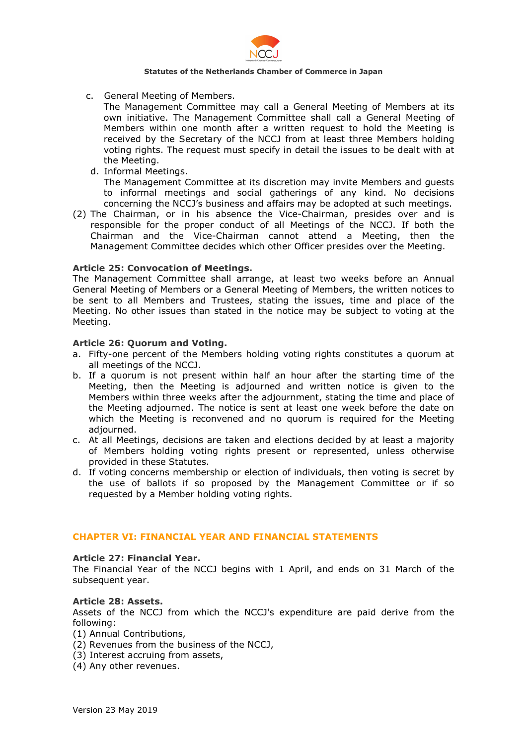

c. General Meeting of Members.

The Management Committee may call a General Meeting of Members at its own initiative. The Management Committee shall call a General Meeting of Members within one month after a written request to hold the Meeting is received by the Secretary of the NCCJ from at least three Members holding voting rights. The request must specify in detail the issues to be dealt with at the Meeting.

d. Informal Meetings.

The Management Committee at its discretion may invite Members and guests to informal meetings and social gatherings of any kind. No decisions concerning the NCCJ's business and affairs may be adopted at such meetings.

(2) The Chairman, or in his absence the Vice-Chairman, presides over and is responsible for the proper conduct of all Meetings of the NCCJ. If both the Chairman and the Vice-Chairman cannot attend a Meeting, then the Management Committee decides which other Officer presides over the Meeting.

## **Article 25: Convocation of Meetings.**

The Management Committee shall arrange, at least two weeks before an Annual General Meeting of Members or a General Meeting of Members, the written notices to be sent to all Members and Trustees, stating the issues, time and place of the Meeting. No other issues than stated in the notice may be subject to voting at the Meeting.

## **Article 26: Quorum and Voting.**

- a. Fifty-one percent of the Members holding voting rights constitutes a quorum at all meetings of the NCCJ.
- b. If a quorum is not present within half an hour after the starting time of the Meeting, then the Meeting is adjourned and written notice is given to the Members within three weeks after the adjournment, stating the time and place of the Meeting adjourned. The notice is sent at least one week before the date on which the Meeting is reconvened and no quorum is required for the Meeting adjourned.
- c. At all Meetings, decisions are taken and elections decided by at least a majority of Members holding voting rights present or represented, unless otherwise provided in these Statutes.
- d. If voting concerns membership or election of individuals, then voting is secret by the use of ballots if so proposed by the Management Committee or if so requested by a Member holding voting rights.

# **CHAPTER VI: FINANCIAL YEAR AND FINANCIAL STATEMENTS**

#### **Article 27: Financial Year.**

The Financial Year of the NCCJ begins with 1 April, and ends on 31 March of the subsequent year.

## **Article 28: Assets.**

Assets of the NCCJ from which the NCCJ's expenditure are paid derive from the following:

- (1) Annual Contributions,
- (2) Revenues from the business of the NCCJ,
- (3) Interest accruing from assets,
- (4) Any other revenues.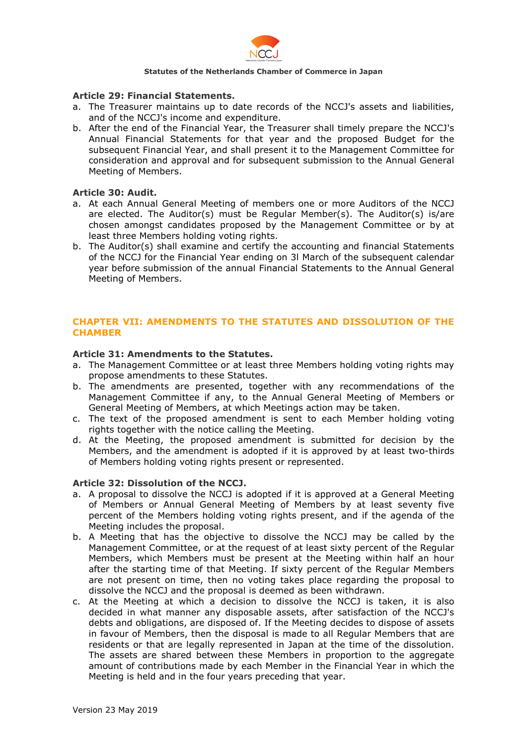

## **Article 29: Financial Statements.**

- a. The Treasurer maintains up to date records of the NCCJ's assets and liabilities, and of the NCCJ's income and expenditure.
- b. After the end of the Financial Year, the Treasurer shall timely prepare the NCCJ's Annual Financial Statements for that year and the proposed Budget for the subsequent Financial Year, and shall present it to the Management Committee for consideration and approval and for subsequent submission to the Annual General Meeting of Members.

## **Article 30: Audit.**

- a. At each Annual General Meeting of members one or more Auditors of the NCCJ are elected. The Auditor(s) must be Regular Member(s). The Auditor(s) is/are chosen amongst candidates proposed by the Management Committee or by at least three Members holding voting rights.
- b. The Auditor(s) shall examine and certify the accounting and financial Statements of the NCCJ for the Financial Year ending on 3l March of the subsequent calendar year before submission of the annual Financial Statements to the Annual General Meeting of Members.

# **CHAPTER VII: AMENDMENTS TO THE STATUTES AND DISSOLUTION OF THE CHAMBER**

#### **Article 31: Amendments to the Statutes.**

- a. The Management Committee or at least three Members holding voting rights may propose amendments to these Statutes.
- b. The amendments are presented, together with any recommendations of the Management Committee if any, to the Annual General Meeting of Members or General Meeting of Members, at which Meetings action may be taken.
- c. The text of the proposed amendment is sent to each Member holding voting rights together with the notice calling the Meeting.
- d. At the Meeting, the proposed amendment is submitted for decision by the Members, and the amendment is adopted if it is approved by at least two-thirds of Members holding voting rights present or represented.

# **Article 32: Dissolution of the NCCJ.**

- a. A proposal to dissolve the NCCJ is adopted if it is approved at a General Meeting of Members or Annual General Meeting of Members by at least seventy five percent of the Members holding voting rights present, and if the agenda of the Meeting includes the proposal.
- b. A Meeting that has the objective to dissolve the NCCJ may be called by the Management Committee, or at the request of at least sixty percent of the Regular Members, which Members must be present at the Meeting within half an hour after the starting time of that Meeting. If sixty percent of the Regular Members are not present on time, then no voting takes place regarding the proposal to dissolve the NCCJ and the proposal is deemed as been withdrawn.
- c. At the Meeting at which a decision to dissolve the NCCJ is taken, it is also decided in what manner any disposable assets, after satisfaction of the NCCJ's debts and obligations, are disposed of. If the Meeting decides to dispose of assets in favour of Members, then the disposal is made to all Regular Members that are residents or that are legally represented in Japan at the time of the dissolution. The assets are shared between these Members in proportion to the aggregate amount of contributions made by each Member in the Financial Year in which the Meeting is held and in the four years preceding that year.